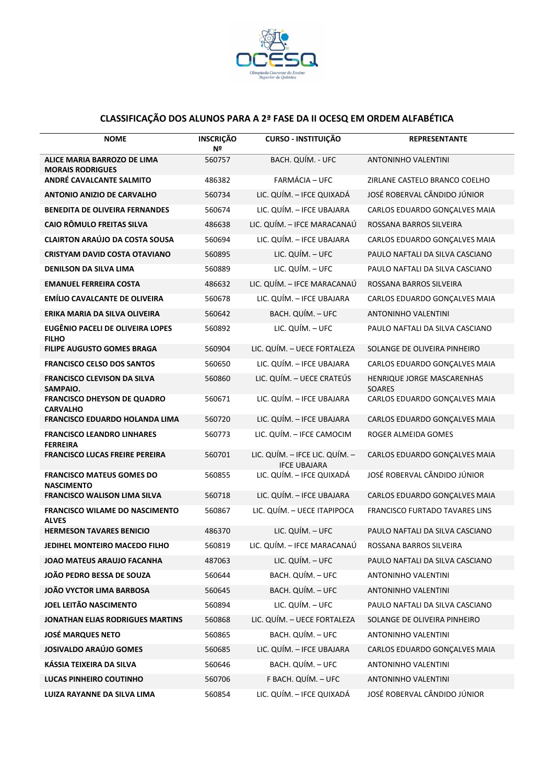

## **CLASSIFICAÇÃO DOS ALUNOS PARA A 2ª FASE DA II OCESQ EM ORDEM ALFABÉTICA**

| <b>NOME</b>                                             | <b>INSCRIÇÃO</b><br>Nº | <b>CURSO - INSTITUIÇÃO</b>                            | <b>REPRESENTANTE</b>                        |
|---------------------------------------------------------|------------------------|-------------------------------------------------------|---------------------------------------------|
| ALICE MARIA BARROZO DE LIMA<br><b>MORAIS RODRIGUES</b>  | 560757                 | BACH. QUÍM. - UFC                                     | ANTONINHO VALENTINI                         |
| ANDRÉ CAVALCANTE SALMITO                                | 486382                 | FARMÁCIA - UFC                                        | ZIRLANE CASTELO BRANCO COELHO               |
| <b>ANTONIO ANIZIO DE CARVALHO</b>                       | 560734                 | LIC. QUÍM. - IFCE QUIXADÁ                             | JOSÉ ROBERVAL CÂNDIDO JÚNIOR                |
| <b>BENEDITA DE OLIVEIRA FERNANDES</b>                   | 560674                 | LIC. QUÍM. - IFCE UBAJARA                             | CARLOS EDUARDO GONÇALVES MAIA               |
| <b>CAIO RÔMULO FREITAS SILVA</b>                        | 486638                 | LIC. QUÍM. - IFCE MARACANAÚ                           | ROSSANA BARROS SILVEIRA                     |
| <b>CLAIRTON ARAÚJO DA COSTA SOUSA</b>                   | 560694                 | LIC. QUÍM. - IFCE UBAJARA                             | CARLOS EDUARDO GONÇALVES MAIA               |
| <b>CRISTYAM DAVID COSTA OTAVIANO</b>                    | 560895                 | LIC. QUÍM. - UFC                                      | PAULO NAFTALI DA SILVA CASCIANO             |
| <b>DENILSON DA SILVA LIMA</b>                           | 560889                 | LIC. QUÍM. - UFC                                      | PAULO NAFTALI DA SILVA CASCIANO             |
| <b>EMANUEL FERREIRA COSTA</b>                           | 486632                 | LIC. QUÍM. - IFCE MARACANAÚ                           | ROSSANA BARROS SILVEIRA                     |
| <b>EMÍLIO CAVALCANTE DE OLIVEIRA</b>                    | 560678                 | LIC. QUÍM. - IFCE UBAJARA                             | CARLOS EDUARDO GONÇALVES MAIA               |
| ERIKA MARIA DA SILVA OLIVEIRA                           | 560642                 | BACH. QUÍM. - UFC                                     | <b>ANTONINHO VALENTINI</b>                  |
| <b>EUGÊNIO PACELI DE OLIVEIRA LOPES</b><br><b>FILHO</b> | 560892                 | LIC. QUÍM. - UFC                                      | PAULO NAFTALI DA SILVA CASCIANO             |
| <b>FILIPE AUGUSTO GOMES BRAGA</b>                       | 560904                 | LIC. QUÍM. - UECE FORTALEZA                           | SOLANGE DE OLIVEIRA PINHEIRO                |
| <b>FRANCISCO CELSO DOS SANTOS</b>                       | 560650                 | LIC. QUÍM. - IFCE UBAJARA                             | CARLOS EDUARDO GONÇALVES MAIA               |
| <b>FRANCISCO CLEVISON DA SILVA</b><br>SAMPAIO.          | 560860                 | LIC. QUÍM. - UECE CRATEÚS                             | HENRIQUE JORGE MASCARENHAS<br><b>SOARES</b> |
| <b>FRANCISCO DHEYSON DE QUADRO</b><br><b>CARVALHO</b>   | 560671                 | LIC. QUÍM. - IFCE UBAJARA                             | CARLOS EDUARDO GONÇALVES MAIA               |
| <b>FRANCISCO EDUARDO HOLANDA LIMA</b>                   | 560720                 | LIC. QUÍM. - IFCE UBAJARA                             | CARLOS EDUARDO GONÇALVES MAIA               |
| <b>FRANCISCO LEANDRO LINHARES</b><br><b>FERREIRA</b>    | 560773                 | LIC. QUÍM. - IFCE CAMOCIM                             | ROGER ALMEIDA GOMES                         |
| <b>FRANCISCO LUCAS FREIRE PEREIRA</b>                   | 560701                 | LIC. QUÍM. - IFCE LIC. QUÍM. -<br><b>IFCE UBAJARA</b> | CARLOS EDUARDO GONÇALVES MAIA               |
| <b>FRANCISCO MATEUS GOMES DO</b><br><b>NASCIMENTO</b>   | 560855                 | LIC. QUÍM. - IFCE QUIXADÁ                             | JOSÉ ROBERVAL CÂNDIDO JÚNIOR                |
| <b>FRANCISCO WALISON LIMA SILVA</b>                     | 560718                 | LIC. QUÍM. - IFCE UBAJARA                             | CARLOS EDUARDO GONÇALVES MAIA               |
| <b>FRANCISCO WILAME DO NASCIMENTO</b><br><b>ALVES</b>   | 560867                 | LIC. QUÍM. - UECE ITAPIPOCA                           | FRANCISCO FURTADO TAVARES LINS              |
| <b>HERMESON TAVARES BENICIO</b>                         | 486370                 | LIC. QUÍM. - UFC                                      | PAULO NAFTALI DA SILVA CASCIANO             |
| JEDIHEL MONTEIRO MACEDO FILHO                           | 560819                 | LIC. QUÍM. - IFCE MARACANAÚ                           | ROSSANA BARROS SILVEIRA                     |
| JOAO MATEUS ARAUJO FACANHA                              | 487063                 | LIC. $QUIM. - UFC$                                    | PAULO NAFTALI DA SILVA CASCIANO             |
| JOÃO PEDRO BESSA DE SOUZA                               | 560644                 | BACH. QUÍM. - UFC                                     | <b>ANTONINHO VALENTINI</b>                  |
| <b>JOÃO VYCTOR LIMA BARBOSA</b>                         | 560645                 | BACH. QUÍM. - UFC                                     | ANTONINHO VALENTINI                         |
| JOEL LEITÃO NASCIMENTO                                  | 560894                 | LIC. QUÍM. - UFC                                      | PAULO NAFTALI DA SILVA CASCIANO             |
| <b>JONATHAN ELIAS RODRIGUES MARTINS</b>                 | 560868                 | LIC. QUÍM. - UECE FORTALEZA                           | SOLANGE DE OLIVEIRA PINHEIRO                |
| <b>JOSÉ MARQUES NETO</b>                                | 560865                 | BACH. QUÍM. - UFC                                     | ANTONINHO VALENTINI                         |
| <b>JOSIVALDO ARAÚJO GOMES</b>                           | 560685                 | LIC. QUÍM. - IFCE UBAJARA                             | CARLOS EDUARDO GONÇALVES MAIA               |
| KÁSSIA TEIXEIRA DA SILVA                                | 560646                 | BACH. QUÍM. - UFC                                     | ANTONINHO VALENTINI                         |
| LUCAS PINHEIRO COUTINHO                                 | 560706                 | F BACH. QUÍM. - UFC                                   | ANTONINHO VALENTINI                         |
| LUIZA RAYANNE DA SILVA LIMA                             | 560854                 | LIC. QUÍM. - IFCE QUIXADÁ                             | JOSÉ ROBERVAL CÂNDIDO JÚNIOR                |